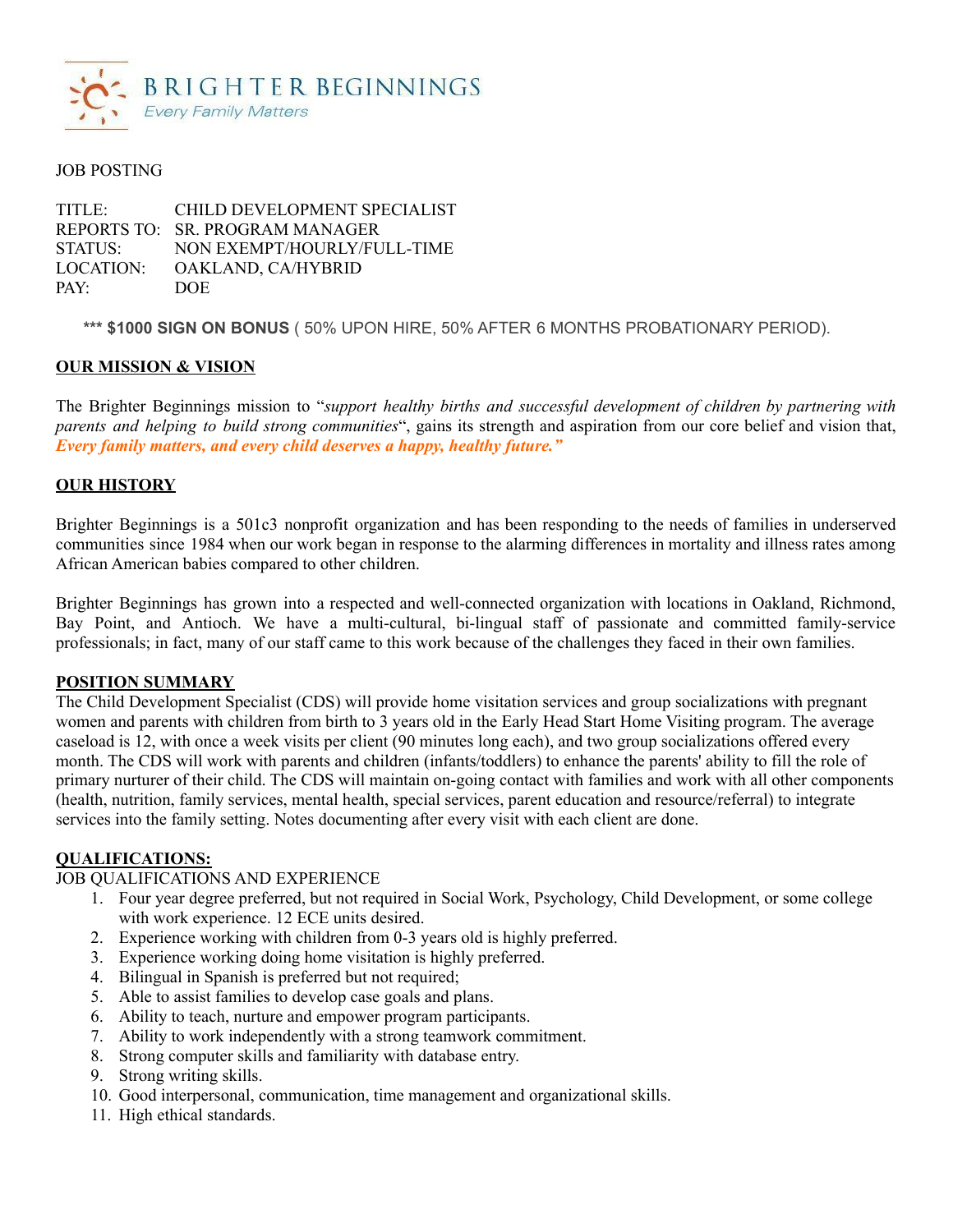

### JOB POSTING

TITLE: CHILD DEVELOPMENT SPECIALIST REPORTS TO: SR. PROGRAM MANAGER STATUS: NON EXEMPT/HOURLY/FULL-TIME LOCATION: OAKLAND, CA/HYBRID PAY: DOE

**\*\*\* \$1000 SIGN ON BONUS** ( 50% UPON HIRE, 50% AFTER 6 MONTHS PROBATIONARY PERIOD).

### **OUR MISSION & VISION**

The Brighter Beginnings mission to "*support healthy births and successful development of children by partnering with parents and helping to build strong communities*", gains its strength and aspiration from our core belief and vision that, *Every family matters, and every child deserves a happy, healthy future."*

### **OUR HISTORY**

Brighter Beginnings is a 501c3 nonprofit organization and has been responding to the needs of families in underserved communities since 1984 when our work began in response to the alarming differences in mortality and illness rates among African American babies compared to other children.

Brighter Beginnings has grown into a respected and well-connected organization with locations in Oakland, Richmond, Bay Point, and Antioch. We have a multi-cultural, bi-lingual staff of passionate and committed family-service professionals; in fact, many of our staff came to this work because of the challenges they faced in their own families.

### **POSITION SUMMARY**

The Child Development Specialist (CDS) will provide home visitation services and group socializations with pregnant women and parents with children from birth to 3 years old in the Early Head Start Home Visiting program. The average caseload is 12, with once a week visits per client (90 minutes long each), and two group socializations offered every month. The CDS will work with parents and children (infants/toddlers) to enhance the parents' ability to fill the role of primary nurturer of their child. The CDS will maintain on-going contact with families and work with all other components (health, nutrition, family services, mental health, special services, parent education and resource/referral) to integrate services into the family setting. Notes documenting after every visit with each client are done.

### **QUALIFICATIONS:**

### JOB QUALIFICATIONS AND EXPERIENCE

- 1. Four year degree preferred, but not required in Social Work, Psychology, Child Development, or some college with work experience. 12 ECE units desired.
- 2. Experience working with children from 0-3 years old is highly preferred.
- 3. Experience working doing home visitation is highly preferred.
- 4. Bilingual in Spanish is preferred but not required;
- 5. Able to assist families to develop case goals and plans.
- 6. Ability to teach, nurture and empower program participants.
- 7. Ability to work independently with a strong teamwork commitment.
- 8. Strong computer skills and familiarity with database entry.
- 9. Strong writing skills.
- 10. Good interpersonal, communication, time management and organizational skills.
- 11. High ethical standards.